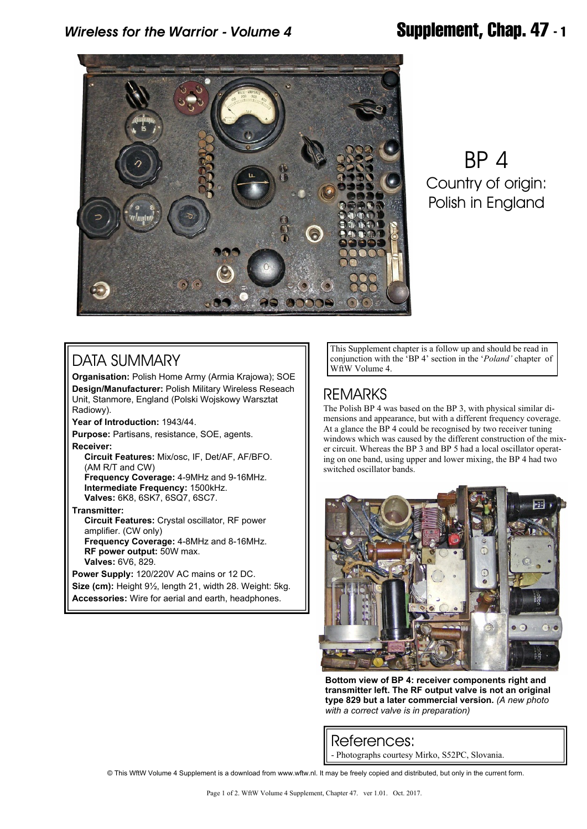

BP 4 Country of origin: Polish in England

# DATA SUMMARY

**Organisation:** Polish Home Army (Armia Krajowa); SOE **Design/Manufacturer:** Polish Military Wireless Reseach Unit, Stanmore, England (Polski Wojskowy Warsztat Radiowy).

**Year of Introduction:** 1943/44.

**Purpose:** Partisans, resistance, SOE, agents. **Receiver:**

 **Circuit Features:** Mix/osc, IF, Det/AF, AF/BFO. (AM R/T and CW)  **Frequency Coverage:** 4-9MHz and 9-16MHz.  **Intermediate Frequency:** 1500kHz.

 **Valves:** 6K8, 6SK7, 6SQ7, 6SC7.

**Transmitter:**

 **Circuit Features:** Crystal oscillator, RF power amplifier. (CW only)  **Frequency Coverage:** 4-8MHz and 8-16MHz.  **RF power output:** 50W max.  **Valves:** 6V6, 829.

**Power Supply:** 120/220V AC mains or 12 DC. **Size (cm):** Height 9½, length 21, width 28. Weight: 5kg. **Accessories:** Wire for aerial and earth, headphones.

This Supplement chapter is a follow up and should be read in conjunction with the 'BP 4' section in the '*Poland'* chapter of

### REMARKS

The Polish BP 4 was based on the BP 3, with physical similar dimensions and appearance, but with a different frequency coverage. At a glance the BP 4 could be recognised by two receiver tuning windows which was caused by the different construction of the mixer circuit. Whereas the BP 3 and BP 5 had a local oscillator operating on one band, using upper and lower mixing, the BP 4 had two switched oscillator bands.



**Bottom view of BP 4: receiver components right and transmitter left. The RF output valve is not an original type 829 but a later commercial version.** *(A new photo with a correct valve is in preparation)*

References:

- Photographs courtesy Mirko, S52PC, Slovania.

© This WftW Volume 4 Supplement is a download from www.wftw.nl. It may be freely copied and distributed, but only in the current form.